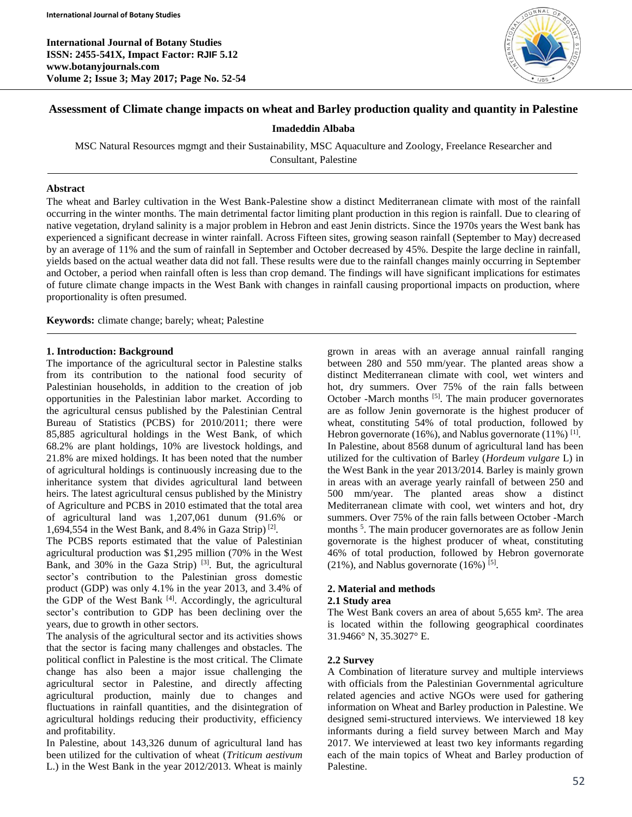**International Journal of Botany Studies ISSN: 2455-541X, Impact Factor: RJIF 5.12 www.botanyjournals.com Volume 2; Issue 3; May 2017; Page No. 52-54**



# **Assessment of Climate change impacts on wheat and Barley production quality and quantity in Palestine**

#### **Imadeddin Albaba**

MSC Natural Resources mgmgt and their Sustainability, MSC Aquaculture and Zoology, Freelance Researcher and Consultant, Palestine

#### **Abstract**

The wheat and Barley cultivation in the West Bank-Palestine show a distinct Mediterranean climate with most of the rainfall occurring in the winter months. The main detrimental factor limiting plant production in this region is rainfall. Due to clearing of native vegetation, dryland salinity is a major problem in Hebron and east Jenin districts. Since the 1970s years the West bank has experienced a significant decrease in winter rainfall. Across Fifteen sites, growing season rainfall (September to May) decreased by an average of 11% and the sum of rainfall in September and October decreased by 45%. Despite the large decline in rainfall, yields based on the actual weather data did not fall. These results were due to the rainfall changes mainly occurring in September and October, a period when rainfall often is less than crop demand. The findings will have significant implications for estimates of future climate change impacts in the West Bank with changes in rainfall causing proportional impacts on production, where proportionality is often presumed.

**Keywords:** climate change; barely; wheat; Palestine

#### **1. Introduction: Background**

The importance of the agricultural sector in Palestine stalks from its contribution to the national food security of Palestinian households, in addition to the creation of job opportunities in the Palestinian labor market. According to the agricultural census published by the Palestinian Central Bureau of Statistics (PCBS) for 2010/2011; there were 85,885 agricultural holdings in the West Bank, of which 68.2% are plant holdings, 10% are livestock holdings, and 21.8% are mixed holdings. It has been noted that the number of agricultural holdings is continuously increasing due to the inheritance system that divides agricultural land between heirs. The latest agricultural census published by the Ministry of Agriculture and PCBS in 2010 estimated that the total area of agricultural land was 1,207,061 dunum (91.6% or 1,694,554 in the West Bank, and 8.4% in Gaza Strip) [2] .

The PCBS reports estimated that the value of Palestinian agricultural production was \$1,295 million (70% in the West Bank, and  $30\%$  in the Gaza Strip) <sup>[3]</sup>. But, the agricultural sector's contribution to the Palestinian gross domestic product (GDP) was only 4.1% in the year 2013, and 3.4% of the GDP of the West Bank [4]. Accordingly, the agricultural sector's contribution to GDP has been declining over the years, due to growth in other sectors.

The analysis of the agricultural sector and its activities shows that the sector is facing many challenges and obstacles. The political conflict in Palestine is the most critical. The Climate change has also been a major issue challenging the agricultural sector in Palestine, and directly affecting agricultural production, mainly due to changes and fluctuations in rainfall quantities, and the disintegration of agricultural holdings reducing their productivity, efficiency and profitability.

In Palestine, about 143,326 dunum of agricultural land has been utilized for the cultivation of wheat (*Triticum aestivum* L.) in the West Bank in the year 2012/2013. Wheat is mainly grown in areas with an average annual rainfall ranging between 280 and 550 mm/year. The planted areas show a distinct Mediterranean climate with cool, wet winters and hot, dry summers. Over 75% of the rain falls between October -March months <sup>[5]</sup>. The main producer governorates are as follow Jenin governorate is the highest producer of wheat, constituting 54% of total production, followed by Hebron governorate (16%), and Nablus governorate (11%)  $^{[1]}$ . In Palestine, about 8568 dunum of agricultural land has been utilized for the cultivation of Barley (*Hordeum vulgare* L) in the West Bank in the year 2013/2014. Barley is mainly grown in areas with an average yearly rainfall of between 250 and 500 mm/year. The planted areas show a distinct Mediterranean climate with cool, wet winters and hot, dry summers. Over 75% of the rain falls between October -March months <sup>5</sup>. The main producer governorates are as follow Jenin governorate is the highest producer of wheat, constituting 46% of total production, followed by Hebron governorate  $(21\%)$ , and Nablus governorate  $(16\%)$ <sup>[5]</sup>.

## **2. Material and methods**

#### **2.1 Study area**

The West Bank covers an area of about 5,655 km². The area is located within the following geographical coordinates 31.9466° N, 35.3027° E.

## **2.2 Survey**

A Combination of literature survey and multiple interviews with officials from the Palestinian Governmental agriculture related agencies and active NGOs were used for gathering information on Wheat and Barley production in Palestine. We designed semi-structured interviews. We interviewed 18 key informants during a field survey between March and May 2017. We interviewed at least two key informants regarding each of the main topics of Wheat and Barley production of Palestine.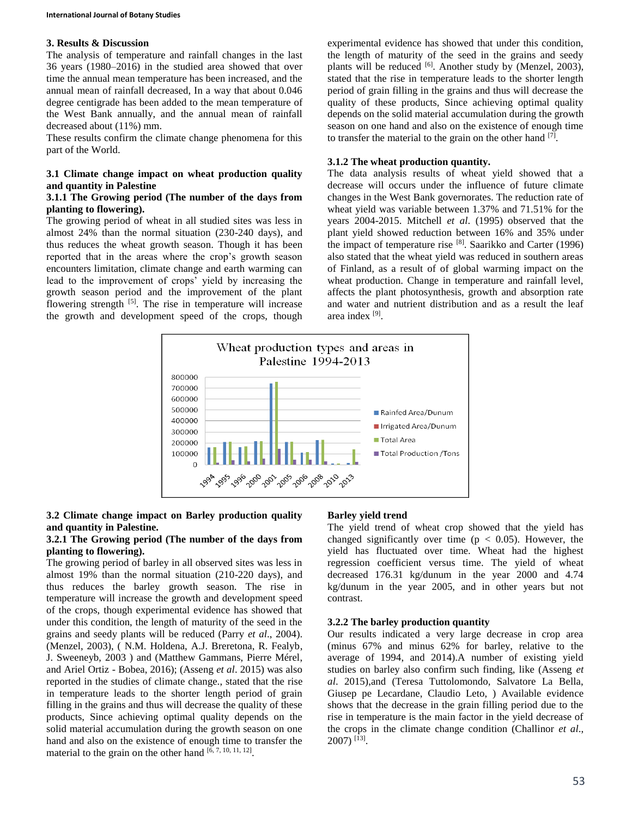## **3. Results & Discussion**

The analysis of temperature and rainfall changes in the last 36 years (1980–2016) in the studied area showed that over time the annual mean temperature has been increased, and the annual mean of rainfall decreased, In a way that about 0.046 degree centigrade has been added to the mean temperature of the West Bank annually, and the annual mean of rainfall decreased about (11%) mm.

These results confirm the climate change phenomena for this part of the World.

### **3.1 Climate change impact on wheat production quality and quantity in Palestine**

## **3.1.1 The Growing period (The number of the days from planting to flowering).**

The growing period of wheat in all studied sites was less in almost 24% than the normal situation (230-240 days), and thus reduces the wheat growth season. Though it has been reported that in the areas where the crop's growth season encounters limitation, climate change and earth warming can lead to the improvement of crops' yield by increasing the growth season period and the improvement of the plant flowering strength  $[5]$ . The rise in temperature will increase the growth and development speed of the crops, though

experimental evidence has showed that under this condition, the length of maturity of the seed in the grains and seedy plants will be reduced [6]. Another study by (Menzel, 2003), stated that the rise in temperature leads to the shorter length period of grain filling in the grains and thus will decrease the quality of these products, Since achieving optimal quality depends on the solid material accumulation during the growth season on one hand and also on the existence of enough time to transfer the material to the grain on the other hand [7].

# **3.1.2 The wheat production quantity.**

The data analysis results of wheat yield showed that a decrease will occurs under the influence of future climate changes in the West Bank governorates. The reduction rate of wheat yield was variable between 1.37% and 71.51% for the years 2004-2015. Mitchell *et al*. (1995) observed that the plant yield showed reduction between 16% and 35% under the impact of temperature rise [8]. Saarikko and Carter (1996) also stated that the wheat yield was reduced in southern areas of Finland, as a result of of global warming impact on the wheat production. Change in temperature and rainfall level, affects the plant photosynthesis, growth and absorption rate and water and nutrient distribution and as a result the leaf area index<sup>[9]</sup>.



## **3.2 Climate change impact on Barley production quality and quantity in Palestine.**

## **3.2.1 The Growing period (The number of the days from planting to flowering).**

The growing period of barley in all observed sites was less in almost 19% than the normal situation (210-220 days), and thus reduces the barley growth season. The rise in temperature will increase the growth and development speed of the crops, though experimental evidence has showed that under this condition, the length of maturity of the seed in the grains and seedy plants will be reduced (Parry *et al*., 2004). (Menzel, 2003), ( N.M. Holdena, A.J. Breretona, R. Fealyb, J. Sweeneyb, 2003 ) and (Matthew Gammans, Pierre Mérel, and Ariel Ortiz - Bobea, 2016); (Asseng *et al*. 2015) was also reported in the studies of climate change., stated that the rise in temperature leads to the shorter length period of grain filling in the grains and thus will decrease the quality of these products, Since achieving optimal quality depends on the solid material accumulation during the growth season on one hand and also on the existence of enough time to transfer the material to the grain on the other hand  $[6, 7, 10, 11, 12]$ .

# **Barley yield trend**

The yield trend of wheat crop showed that the yield has changed significantly over time ( $p < 0.05$ ). However, the yield has fluctuated over time. Wheat had the highest regression coefficient versus time. The yield of wheat decreased 176.31 kg/dunum in the year 2000 and 4.74 kg/dunum in the year 2005, and in other years but not contrast.

# **3.2.2 The barley production quantity**

Our results indicated a very large decrease in crop area (minus 67% and minus 62% for barley, relative to the average of 1994, and 2014).A number of existing yield studies on barley also confirm such finding, like (Asseng *et al*. 2015),and (Teresa Tuttolomondo, Salvatore La Bella, Giusep pe Lecardane, Claudio Leto, ) Available evidence shows that the decrease in the grain filling period due to the rise in temperature is the main factor in the yield decrease of the crops in the climate change condition (Challinor *et al*., 2007) [13] .